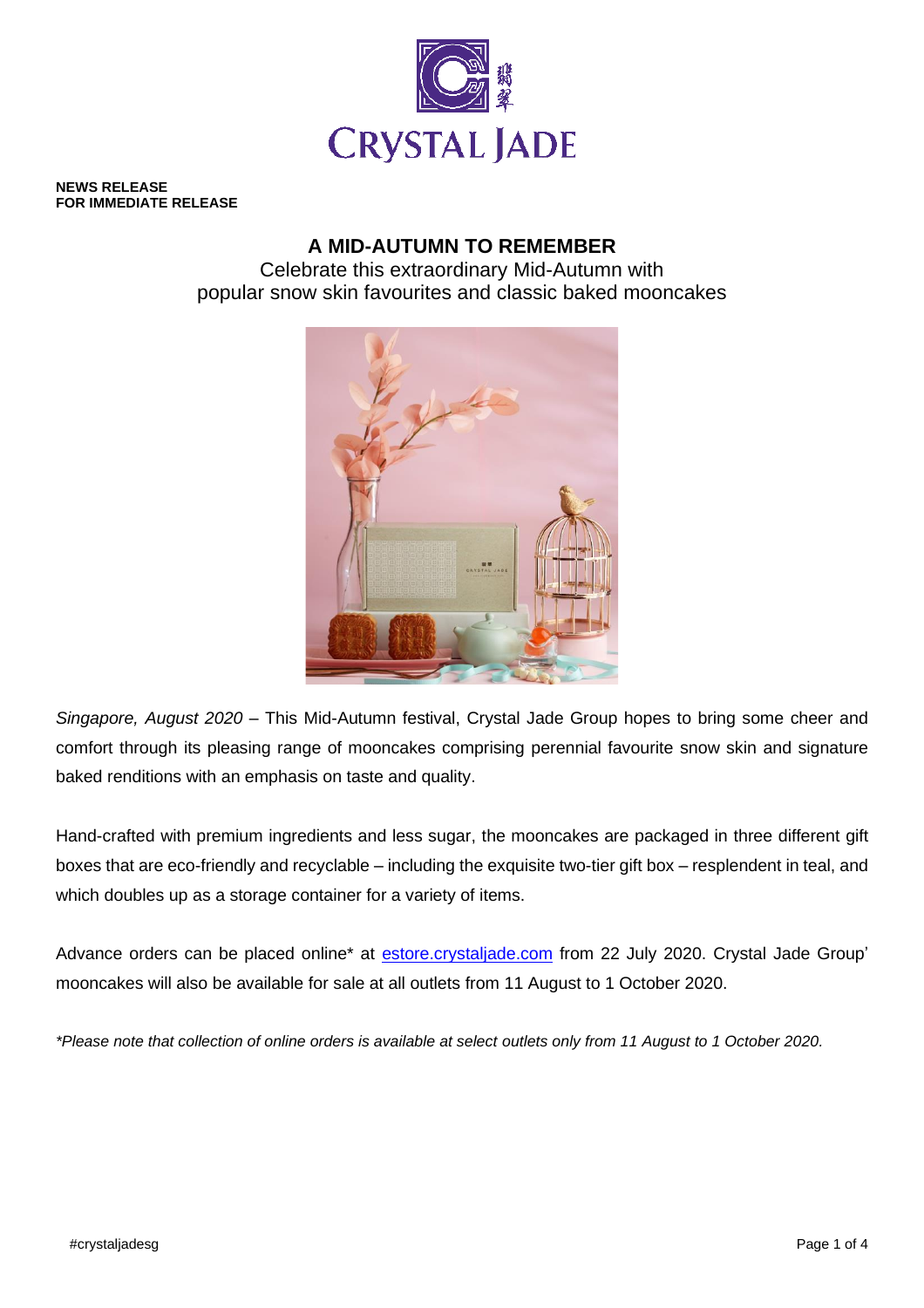

**NEWS RELEASE FOR IMMEDIATE RELEASE**

# **A MID-AUTUMN TO REMEMBER**

Celebrate this extraordinary Mid-Autumn with popular snow skin favourites and classic baked mooncakes



*Singapore, August 2020* – This Mid-Autumn festival, Crystal Jade Group hopes to bring some cheer and comfort through its pleasing range of mooncakes comprising perennial favourite snow skin and signature baked renditions with an emphasis on taste and quality.

Hand-crafted with premium ingredients and less sugar, the mooncakes are packaged in three different gift boxes that are eco-friendly and recyclable – including the exquisite two-tier gift box – resplendent in teal, and which doubles up as a storage container for a variety of items.

Advance orders can be placed online\* at [estore.crystaljade.com](http://www.crystaljade.com/) from 22 July 2020. Crystal Jade Group' mooncakes will also be available for sale at all outlets from 11 August to 1 October 2020.

*\*Please note that collection of online orders is available at select outlets only from 11 August to 1 October 2020.*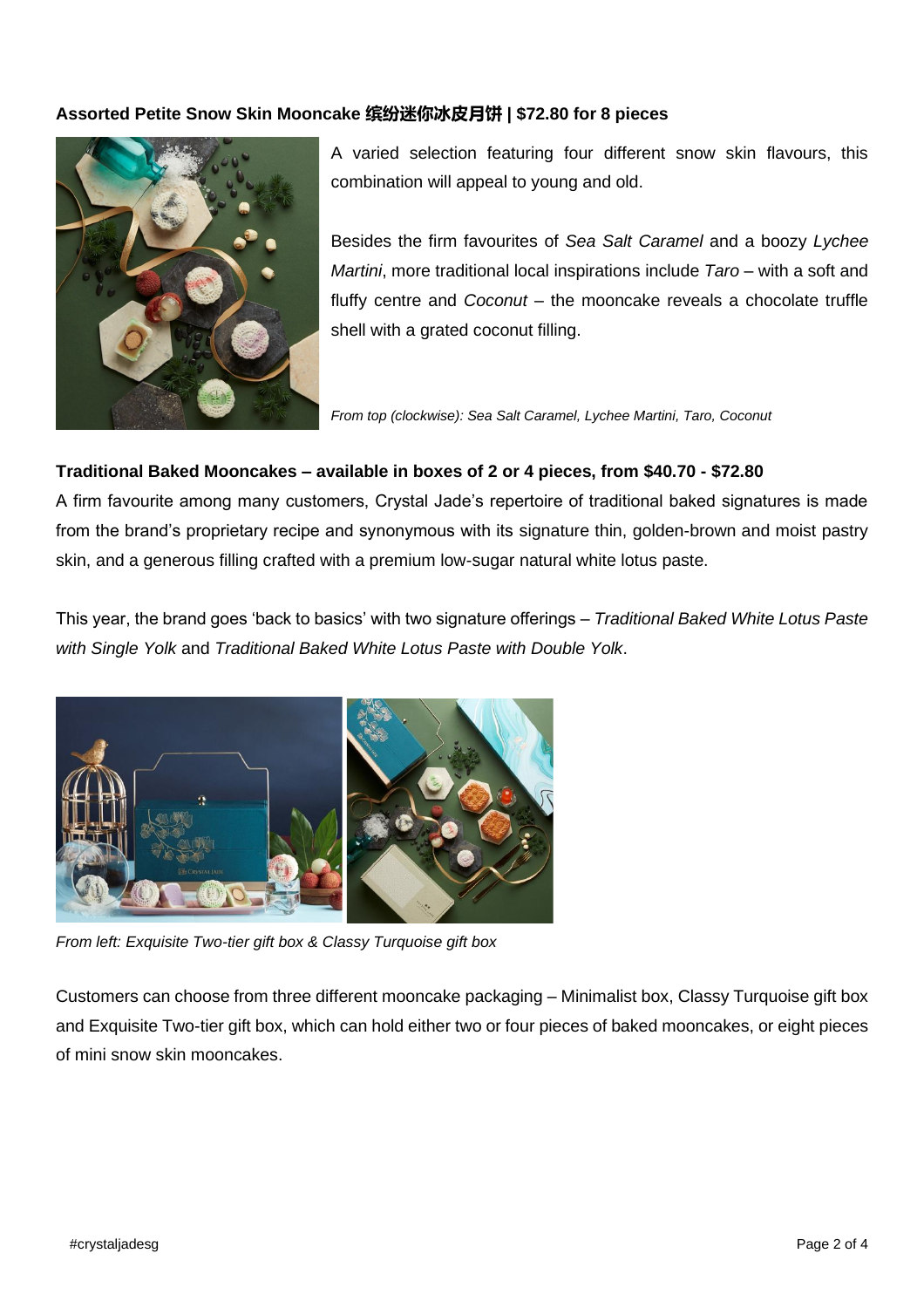### **Assorted Petite Snow Skin Mooncake 缤纷迷你冰皮月饼 | \$72.80 for 8 pieces**



A varied selection featuring four different snow skin flavours, this combination will appeal to young and old.

Besides the firm favourites of *Sea Salt Caramel* and a boozy *Lychee Martini*, more traditional local inspirations include *Taro* – with a soft and fluffy centre and *Coconut* – the mooncake reveals a chocolate truffle shell with a grated coconut filling.

*From top (clockwise): Sea Salt Caramel, Lychee Martini, Taro, Coconut*

#### **Traditional Baked Mooncakes – available in boxes of 2 or 4 pieces, from \$40.70 - \$72.80**

A firm favourite among many customers, Crystal Jade's repertoire of traditional baked signatures is made from the brand's proprietary recipe and synonymous with its signature thin, golden-brown and moist pastry skin, and a generous filling crafted with a premium low-sugar natural white lotus paste.

This year, the brand goes 'back to basics' with two signature offerings – *Traditional Baked White Lotus Paste with Single Yolk* and *Traditional Baked White Lotus Paste with Double Yolk*.



*From left: Exquisite Two-tier gift box & Classy Turquoise gift box*

Customers can choose from three different mooncake packaging – Minimalist box, Classy Turquoise gift box and Exquisite Two-tier gift box, which can hold either two or four pieces of baked mooncakes, or eight pieces of mini snow skin mooncakes.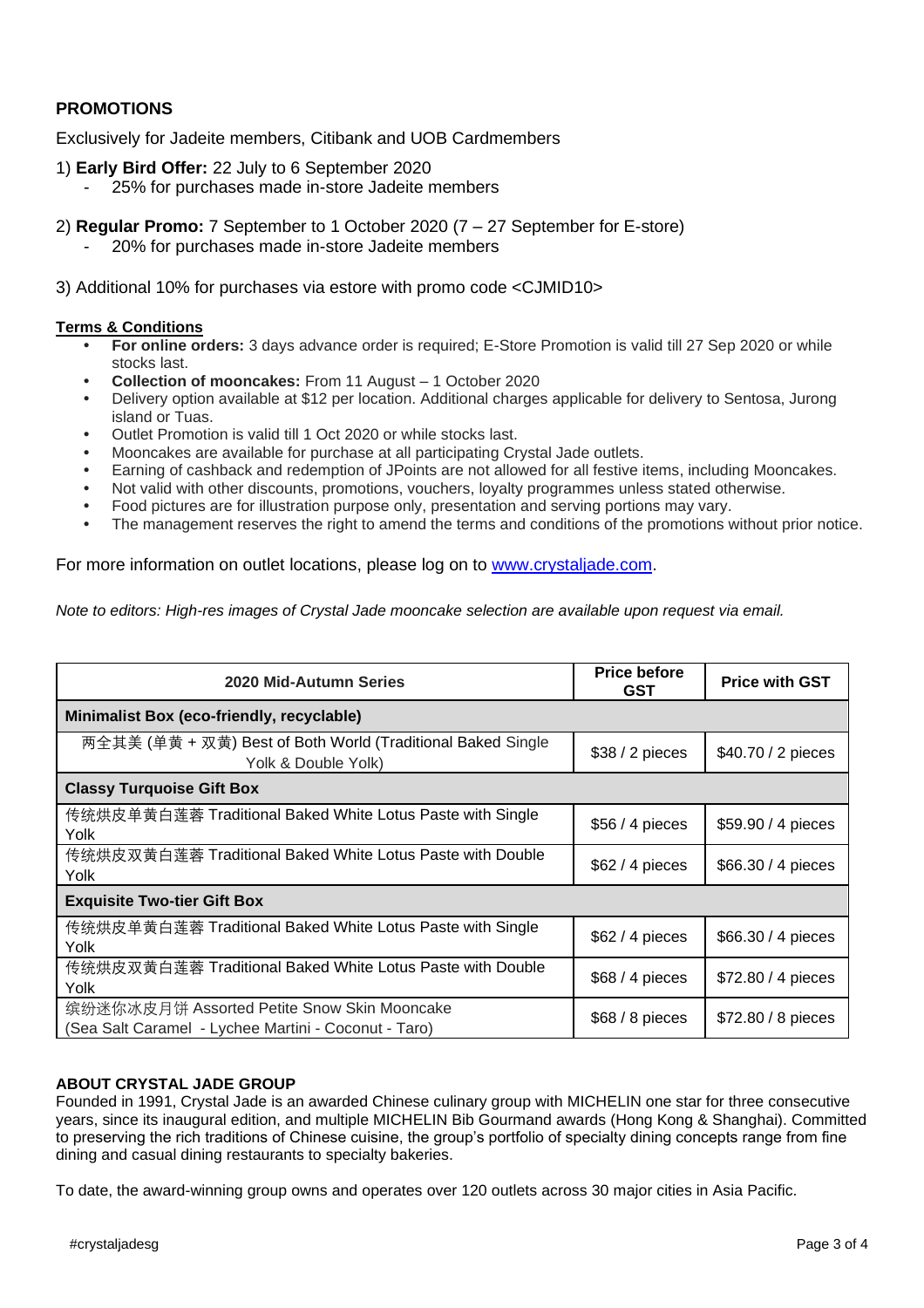## **PROMOTIONS**

Exclusively for Jadeite members, Citibank and UOB Cardmembers

- 1) **Early Bird Offer:** 22 July to 6 September 2020
	- 25% for purchases made in-store Jadeite members
- 2) **Regular Promo:** 7 September to 1 October 2020 (7 27 September for E-store)
	- 20% for purchases made in-store Jadeite members

3) Additional 10% for purchases via estore with promo code <CJMID10>

#### **Terms & Conditions**

- **• For online orders:** 3 days advance order is required; E-Store Promotion is valid till 27 Sep 2020 or while stocks last.
- **• Collection of mooncakes:** From 11 August 1 October 2020
- **•** Delivery option available at \$12 per location. Additional charges applicable for delivery to Sentosa, Jurong island or Tuas.
- **•** Outlet Promotion is valid till 1 Oct 2020 or while stocks last.
- **•** Mooncakes are available for purchase at all participating Crystal Jade outlets.
- **•** Earning of cashback and redemption of JPoints are not allowed for all festive items, including Mooncakes.
- **•** Not valid with other discounts, promotions, vouchers, loyalty programmes unless stated otherwise.
- **•** Food pictures are for illustration purpose only, presentation and serving portions may vary.
- **•** The management reserves the right to amend the terms and conditions of the promotions without prior notice.

For more information on outlet locations, please log on to [www.crystaljade.com.](http://www.crystaljade.com/)

*Note to editors: High-res images of Crystal Jade mooncake selection are available upon request via email.*

| 2020 Mid-Autumn Series                                                                              | <b>Price before</b><br><b>GST</b> | <b>Price with GST</b> |
|-----------------------------------------------------------------------------------------------------|-----------------------------------|-----------------------|
| Minimalist Box (eco-friendly, recyclable)                                                           |                                   |                       |
| 两全其美 (单黄 + 双黄) Best of Both World (Traditional Baked Single<br>Yolk & Double Yolk)                  | $$38/2$ pieces                    | \$40.70 / 2 pieces    |
| <b>Classy Turquoise Gift Box</b>                                                                    |                                   |                       |
| 传统烘皮单黄白莲蓉 Traditional Baked White Lotus Paste with Single<br>Yolk                                   | $$56/4$ pieces                    | \$59.90 / 4 pieces    |
| 传统烘皮双黄白莲蓉 Traditional Baked White Lotus Paste with Double<br>Yolk                                   | $$62/4$ pieces                    | \$66.30 / 4 pieces    |
| <b>Exquisite Two-tier Gift Box</b>                                                                  |                                   |                       |
| 传统烘皮单黄白莲蓉 Traditional Baked White Lotus Paste with Single<br>Yolk                                   | $$62/4$ pieces                    | \$66.30 / 4 pieces    |
| 传统烘皮双黄白莲蓉 Traditional Baked White Lotus Paste with Double<br>Yolk                                   | $$68/4$ pieces                    | \$72.80 / 4 pieces    |
| 缤纷迷你冰皮月饼 Assorted Petite Snow Skin Mooncake<br>(Sea Salt Caramel - Lychee Martini - Coconut - Taro) | $$68/8$ pieces                    | \$72.80 / 8 pieces    |

#### **ABOUT CRYSTAL JADE GROUP**

Founded in 1991, Crystal Jade is an awarded Chinese culinary group with MICHELIN one star for three consecutive years, since its inaugural edition, and multiple MICHELIN Bib Gourmand awards (Hong Kong & Shanghai). Committed to preserving the rich traditions of Chinese cuisine, the group's portfolio of specialty dining concepts range from fine dining and casual dining restaurants to specialty bakeries.

To date, the award-winning group owns and operates over 120 outlets across 30 major cities in Asia Pacific.